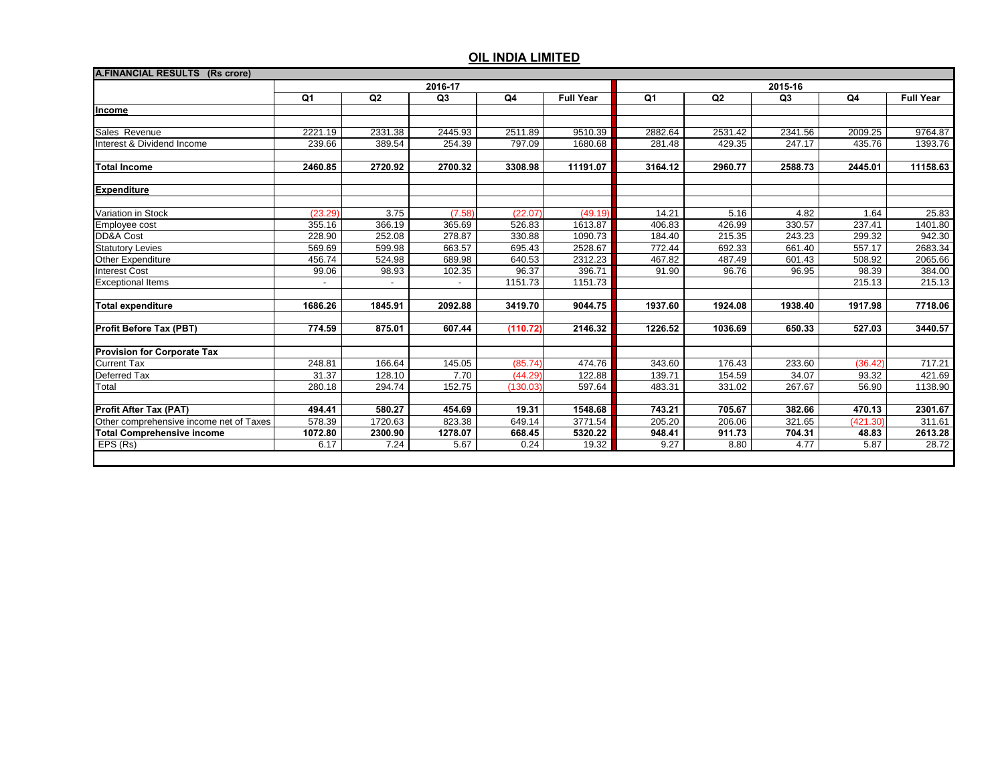|                                         | 2016-17                  |                          |                          |          | 2015-16          |         |         |                |          |                  |
|-----------------------------------------|--------------------------|--------------------------|--------------------------|----------|------------------|---------|---------|----------------|----------|------------------|
|                                         | Q1                       | Q2                       | Q3                       | Q4       | <b>Full Year</b> | Q1      | Q2      | Q <sub>3</sub> | Q4       | <b>Full Year</b> |
| Income                                  |                          |                          |                          |          |                  |         |         |                |          |                  |
|                                         |                          |                          |                          |          |                  |         |         |                |          |                  |
| Sales Revenue                           | 2221.19                  | 2331.38                  | 2445.93                  | 2511.89  | 9510.39          | 2882.64 | 2531.42 | 2341.56        | 2009.25  | 9764.87          |
| Interest & Dividend Income              | 239.66                   | 389.54                   | 254.39                   | 797.09   | 1680.68          | 281.48  | 429.35  | 247.17         | 435.76   | 1393.76          |
| <b>Total Income</b>                     | 2460.85                  | 2720.92                  | 2700.32                  | 3308.98  | 11191.07         | 3164.12 | 2960.77 | 2588.73        | 2445.01  | 11158.63         |
| <b>Expenditure</b>                      |                          |                          |                          |          |                  |         |         |                |          |                  |
| Variation in Stock                      | (23.29)                  | 3.75                     | (7.58)                   | (22.07)  | (49.19)          | 14.21   | 5.16    | 4.82           | 1.64     | 25.83            |
| Employee cost                           | 355.16                   | 366.19                   | 365.69                   | 526.83   | 1613.87          | 406.83  | 426.99  | 330.57         | 237.41   | 1401.80          |
| DD&A Cost                               | 228.90                   | 252.08                   | 278.87                   | 330.88   | 1090.73          | 184.40  | 215.35  | 243.23         | 299.32   | 942.30           |
| <b>Statutory Levies</b>                 | 569.69                   | 599.98                   | 663.57                   | 695.43   | 2528.67          | 772.44  | 692.33  | 661.40         | 557.17   | 2683.34          |
| Other Expenditure                       | 456.74                   | 524.98                   | 689.98                   | 640.53   | 2312.23          | 467.82  | 487.49  | 601.43         | 508.92   | 2065.66          |
| <b>Interest Cost</b>                    | 99.06                    | 98.93                    | 102.35                   | 96.37    | 396.71           | 91.90   | 96.76   | 96.95          | 98.39    | 384.00           |
| <b>Exceptional Items</b>                | $\overline{\phantom{a}}$ | $\overline{\phantom{a}}$ | $\overline{\phantom{a}}$ | 1151.73  | 1151.73          |         |         |                | 215.13   | 215.13           |
| <b>Total expenditure</b>                | 1686.26                  | 1845.91                  | 2092.88                  | 3419.70  | 9044.75          | 1937.60 | 1924.08 | 1938.40        | 1917.98  | 7718.06          |
| <b>Profit Before Tax (PBT)</b>          | 774.59                   | 875.01                   | 607.44                   | (110.72) | 2146.32          | 1226.52 | 1036.69 | 650.33         | 527.03   | 3440.57          |
| <b>Provision for Corporate Tax</b>      |                          |                          |                          |          |                  |         |         |                |          |                  |
| <b>Current Tax</b>                      | 248.81                   | 166.64                   | 145.05                   | (85.74)  | 474.76           | 343.60  | 176.43  | 233.60         | (36.42)  | 717.21           |
| Deferred Tax                            | 31.37                    | 128.10                   | 7.70                     | (44.29)  | 122.88           | 139.71  | 154.59  | 34.07          | 93.32    | 421.69           |
| Total                                   | 280.18                   | 294.74                   | 152.75                   | (130.03) | 597.64           | 483.31  | 331.02  | 267.67         | 56.90    | 1138.90          |
| <b>Profit After Tax (PAT)</b>           | 494.41                   | 580.27                   | 454.69                   | 19.31    | 1548.68          | 743.21  | 705.67  | 382.66         | 470.13   | 2301.67          |
| Other comprehensive income net of Taxes | 578.39                   | 1720.63                  | 823.38                   | 649.14   | 3771.54          | 205.20  | 206.06  | 321.65         | (421.30) | 311.61           |
| <b>Total Comprehensive income</b>       | 1072.80                  | 2300.90                  | 1278.07                  | 668.45   | 5320.22          | 948.41  | 911.73  | 704.31         | 48.83    | 2613.28          |
| EPS (Rs)                                | 6.17                     | 7.24                     | 5.67                     | 0.24     | 19.32            | 9.27    | 8.80    | 4.77           | 5.87     | 28.72            |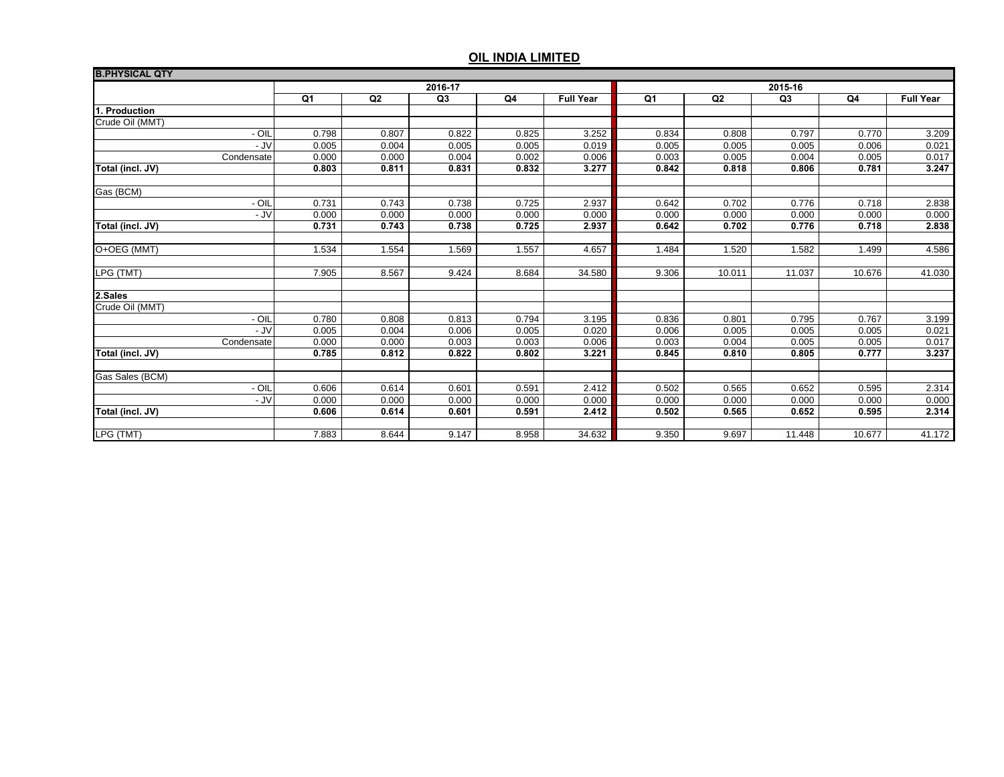| <b>B.PHYSICAL QTY</b> |         |                |                |       |                  |       |        |                |        |                  |
|-----------------------|---------|----------------|----------------|-------|------------------|-------|--------|----------------|--------|------------------|
|                       | 2016-17 |                |                |       | 2015-16          |       |        |                |        |                  |
|                       | Q1      | Q <sub>2</sub> | Q <sub>3</sub> | Q4    | <b>Full Year</b> | Q1    | Q2     | Q <sub>3</sub> | Q4     | <b>Full Year</b> |
| 1. Production         |         |                |                |       |                  |       |        |                |        |                  |
| Crude Oil (MMT)       |         |                |                |       |                  |       |        |                |        |                  |
| - OIL                 | 0.798   | 0.807          | 0.822          | 0.825 | 3.252            | 0.834 | 0.808  | 0.797          | 0.770  | 3.209            |
| - JV                  | 0.005   | 0.004          | 0.005          | 0.005 | 0.019            | 0.005 | 0.005  | 0.005          | 0.006  | 0.021            |
| Condensate            | 0.000   | 0.000          | 0.004          | 0.002 | 0.006            | 0.003 | 0.005  | 0.004          | 0.005  | 0.017            |
| Total (incl. JV)      | 0.803   | 0.811          | 0.831          | 0.832 | 3.277            | 0.842 | 0.818  | 0.806          | 0.781  | 3.247            |
| Gas (BCM)             |         |                |                |       |                  |       |        |                |        |                  |
| - OIL                 | 0.731   | 0.743          | 0.738          | 0.725 | 2.937            | 0.642 | 0.702  | 0.776          | 0.718  | 2.838            |
| - JV                  | 0.000   | 0.000          | 0.000          | 0.000 | 0.000            | 0.000 | 0.000  | 0.000          | 0.000  | 0.000            |
| Total (incl. JV)      | 0.731   | 0.743          | 0.738          | 0.725 | 2.937            | 0.642 | 0.702  | 0.776          | 0.718  | 2.838            |
|                       |         |                |                |       |                  |       |        |                |        |                  |
| O+OEG (MMT)           | 1.534   | 1.554          | 1.569          | 1.557 | 4.657            | 1.484 | 1.520  | 1.582          | 1.499  | 4.586            |
| LPG (TMT)             | 7.905   | 8.567          | 9.424          | 8.684 | 34.580           | 9.306 | 10.011 | 11.037         | 10.676 | 41.030           |
|                       |         |                |                |       |                  |       |        |                |        |                  |
| 2.Sales               |         |                |                |       |                  |       |        |                |        |                  |
| Crude Oil (MMT)       |         |                |                |       |                  |       |        |                |        |                  |
| - OIL                 | 0.780   | 0.808          | 0.813          | 0.794 | 3.195            | 0.836 | 0.801  | 0.795          | 0.767  | 3.199            |
| - JV                  | 0.005   | 0.004          | 0.006          | 0.005 | 0.020            | 0.006 | 0.005  | 0.005          | 0.005  | 0.021            |
| Condensate            | 0.000   | 0.000          | 0.003          | 0.003 | 0.006            | 0.003 | 0.004  | 0.005          | 0.005  | 0.017            |
| Total (incl. JV)      | 0.785   | 0.812          | 0.822          | 0.802 | 3.221            | 0.845 | 0.810  | 0.805          | 0.777  | 3.237            |
| Gas Sales (BCM)       |         |                |                |       |                  |       |        |                |        |                  |
| - OIL                 | 0.606   | 0.614          | 0.601          | 0.591 | 2.412            | 0.502 | 0.565  | 0.652          | 0.595  | 2.314            |
| - JV                  | 0.000   | 0.000          | 0.000          | 0.000 | 0.000            | 0.000 | 0.000  | 0.000          | 0.000  | 0.000            |
| Total (incl. JV)      | 0.606   | 0.614          | 0.601          | 0.591 | 2.412            | 0.502 | 0.565  | 0.652          | 0.595  | 2.314            |
|                       |         |                |                |       |                  |       |        |                |        |                  |
| LPG (TMT)             | 7.883   | 8.644          | 9.147          | 8.958 | 34.632           | 9.350 | 9.697  | 11.448         | 10.677 | 41.172           |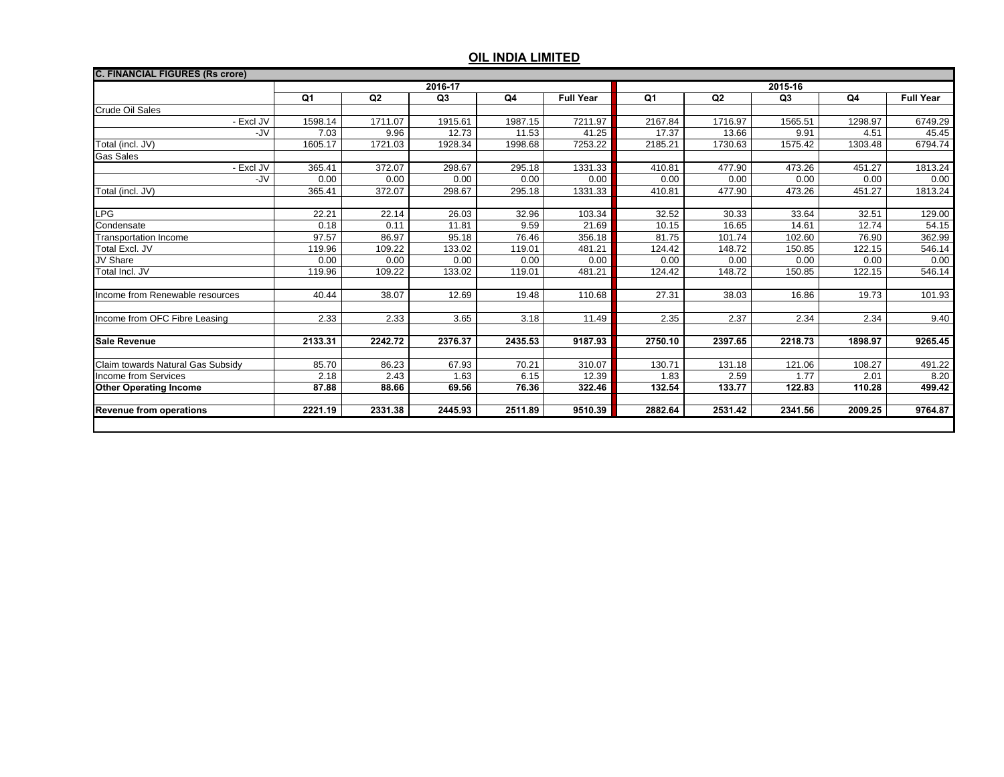| <b>C. FINANCIAL FIGURES (Rs crore)</b> |                |         |                |         |                  |         |         |                |         |                  |  |
|----------------------------------------|----------------|---------|----------------|---------|------------------|---------|---------|----------------|---------|------------------|--|
|                                        | 2016-17        |         |                |         |                  | 2015-16 |         |                |         |                  |  |
|                                        | Q <sub>1</sub> | Q2      | Q <sub>3</sub> | Q4      | <b>Full Year</b> | Q1      | Q2      | Q <sub>3</sub> | Q4      | <b>Full Year</b> |  |
| Crude Oil Sales                        |                |         |                |         |                  |         |         |                |         |                  |  |
| Excl JV                                | 1598.14        | 1711.07 | 1915.61        | 1987.15 | 7211.97          | 2167.84 | 1716.97 | 1565.51        | 1298.97 | 6749.29          |  |
| -JV                                    | 7.03           | 9.96    | 12.73          | 11.53   | 41.25            | 17.37   | 13.66   | 9.91           | 4.51    | 45.45            |  |
| Total (incl. JV)                       | 1605.17        | 1721.03 | 1928.34        | 1998.68 | 7253.22          | 2185.21 | 1730.63 | 1575.42        | 1303.48 | 6794.74          |  |
| Gas Sales                              |                |         |                |         |                  |         |         |                |         |                  |  |
| Excl JV                                | 365.41         | 372.07  | 298.67         | 295.18  | 1331.33          | 410.81  | 477.90  | 473.26         | 451.27  | 1813.24          |  |
| -JV                                    | 0.00           | 0.00    | 0.00           | 0.00    | 0.00             | 0.00    | 0.00    | 0.00           | 0.00    | 0.00             |  |
| Total (incl. JV)                       | 365.41         | 372.07  | 298.67         | 295.18  | 1331.33          | 410.81  | 477.90  | 473.26         | 451.27  | 1813.24          |  |
|                                        |                |         |                |         |                  |         |         |                |         |                  |  |
| LPG                                    | 22.21          | 22.14   | 26.03          | 32.96   | 103.34           | 32.52   | 30.33   | 33.64          | 32.51   | 129.00           |  |
| Condensate                             | 0.18           | 0.11    | 11.81          | 9.59    | 21.69            | 10.15   | 16.65   | 14.61          | 12.74   | 54.15            |  |
| <b>Transportation Income</b>           | 97.57          | 86.97   | 95.18          | 76.46   | 356.18           | 81.75   | 101.74  | 102.60         | 76.90   | 362.99           |  |
| Total Excl. JV                         | 119.96         | 109.22  | 133.02         | 119.01  | 481.21           | 124.42  | 148.72  | 150.85         | 122.15  | 546.14           |  |
| JV Share                               | 0.00           | 0.00    | 0.00           | 0.00    | 0.00             | 0.00    | 0.00    | 0.00           | 0.00    | 0.00             |  |
| Total Incl. JV                         | 119.96         | 109.22  | 133.02         | 119.01  | 481.21           | 124.42  | 148.72  | 150.85         | 122.15  | 546.14           |  |
|                                        |                |         |                |         |                  |         |         |                |         |                  |  |
| Income from Renewable resources        | 40.44          | 38.07   | 12.69          | 19.48   | 110.68           | 27.31   | 38.03   | 16.86          | 19.73   | 101.93           |  |
|                                        |                |         |                |         |                  |         |         |                |         |                  |  |
| Income from OFC Fibre Leasing          | 2.33           | 2.33    | 3.65           | 3.18    | 11.49            | 2.35    | 2.37    | 2.34           | 2.34    | 9.40             |  |
| <b>Sale Revenue</b>                    | 2133.31        | 2242.72 | 2376.37        | 2435.53 | 9187.93          | 2750.10 | 2397.65 | 2218.73        | 1898.97 | 9265.45          |  |
| Claim towards Natural Gas Subsidy      | 85.70          | 86.23   | 67.93          | 70.21   | 310.07           | 130.71  | 131.18  | 121.06         | 108.27  | 491.22           |  |
| <b>Income from Services</b>            | 2.18           | 2.43    | 1.63           | 6.15    | 12.39            | 1.83    | 2.59    | 1.77           | 2.01    | 8.20             |  |
| <b>Other Operating Income</b>          | 87.88          | 88.66   | 69.56          | 76.36   | 322.46           | 132.54  | 133.77  | 122.83         | 110.28  | 499.42           |  |
|                                        |                |         |                |         |                  |         |         |                |         |                  |  |
| <b>Revenue from operations</b>         | 2221.19        | 2331.38 | 2445.93        | 2511.89 | 9510.39          | 2882.64 | 2531.42 | 2341.56        | 2009.25 | 9764.87          |  |
|                                        |                |         |                |         |                  |         |         |                |         |                  |  |